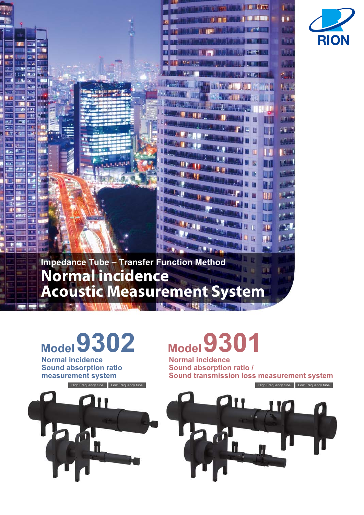



**Normal incidence** 

**Sound absorption ratio measurement system**

# **Model9302 Model9301**

**Normal incidence Sound absorption ratio / Sound transmission loss measurement system**

IĦ



110

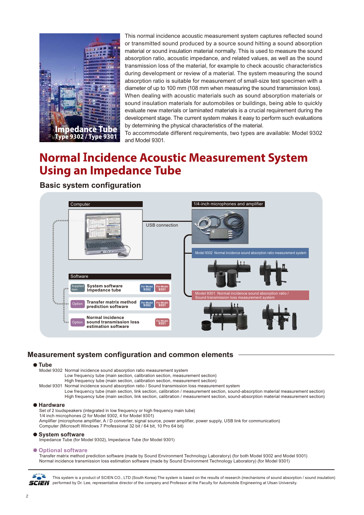

This normal incidence acoustic measurement system captures reflected sound or transmitted sound produced by a source sound hitting a sound absorption material or sound insulation material normally. This is used to measure the sound absorption ratio, acoustic impedance, and related values, as well as the sound transmission loss of the material, for example to check acoustic characteristics during development or review of a material. The system measuring the sound absorption ratio is suitable for measurement of small-size test specimen with a diameter of up to 100 mm (108 mm when measuring the sound transmission loss). When dealing with acoustic materials such as sound absorption materials or sound insulation materials for automobiles or buildings, being able to quickly evaluate new materials or laminated materials is a crucial requirement during the development stage. The current system makes it easy to perform such evaluations by determining the physical characteristics of the material.

To accommodate different requirements, two types are available: Model 9302 and Model 9301.

# **Normal Incidence Acoustic Measurement System Using an Impedance Tube**

# **Basic system configuration**



# **Measurement system configuration and common elements**

# **Tube**

Model 9302 Normal incidence sound absorption ratio measurement system Low frequency tube (main section, calibration section, measurement section)

High frequency tube (main section, calibration section, measurement section)

Model 9301 Normal incidence sound absorption ratio / Sound transmission loss measurement system Low frequency tube (main section, link section, calibration / measurement section, sound-absorption material measurement section) High frequency tube (main section, link section, calibration / measurement section, sound-absorption material measurement section)

# **Hardware**

Set of 2 loudspeakers (integrated in low frequency or high frequency main tube) 1/4 inch microphones (2 for Model 9302, 4 for Model 9301) Amplifier (microphone amplifier, A / D converter, signal source, power amplifier, power supply, USB link for communication) Computer (Microsoft Windows 7 Professional 32 bit / 64 bit, 10 Pro 64 bit)

### **System software**

Impedance Tube (for Model 9302), Impedance Tube (for Model 9301)

### $\bullet$  **Optional software**

Transfer matrix method prediction software (made by Sound Environment Technology Laboratory) (for both Model 9302 and Model 9301) Normal incidence transmission loss estimation software (made by Sound Environment Technology Laboratory) (for Model 9301)



This system is a product of SCIEN CO., LTD (South Korea) The system is based on the results of research (mechanisms of sound absorption / sound insulation) **SCIEN** performed by Dr. Lee, representative director of the company and Professor at the Faculty for Automobile Engineering at Ulsan University.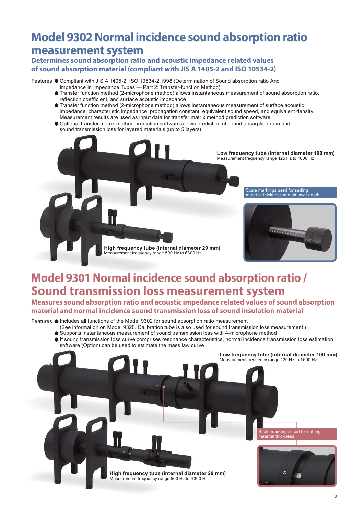# **Model 9302 Normal incidence sound absorption ratio measurement system**

# **Determines sound absorption ratio and acoustic impedance related values of sound absorption material (compliant with JIS A 1405-2 and ISO 10534-2)**

Features Compliant with JIS A 1405-2, ISO 10534-2:1998 (Determination of Sound absorption ratio And Impedance In Impedance Tubes — Part 2: Transfer-function Method)

- Transfer function method (2-microphone method) allows instantaneous measurement of sound absorption ratio, reflection coefficient, and surface acoustic impedance
- Transfer function method (2-microphone method) allows instantaneous measurement of surface acoustic impedance, characteristic impedance, propagation constant, equivalent sound speed, and equivalent density. Measurement results are used as input data for transfer matrix method prediction software.
- Optional transfer matrix method prediction software allows prediction of sound absorption ratio and sound transmission loss for layered materials (up to 5 layers)



# **Model 9301 Normal incidence sound absorption ratio / Sound transmission loss measurement system**

**Measures sound absorption ratio and acoustic impedance related values of sound absorption material and normal incidence sound transmission loss of sound insulation material**

Features  $\bullet$  Includes all functions of the Model 9302 for sound absorption ratio measurement

- (See information on Model 9320. Calibration tube is also used for sound transmission loss measurement.) Supports instantaneous measurement of sound transmission loss with 4-microphone method
	- If sound transmission loss curve comprises resonance characteristics, normal incidence transmission loss estimation software (Option) can be used to estimate the mass law curve

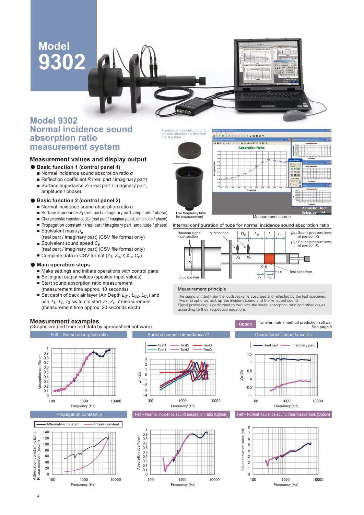# **Model 9302**



# **Measurement values and display output**

- Basic function 1 (control panel 1)
	- Normal incidence sound absorption ratio *α*
	- Reflection coefficient *R* (real part / imaginary part)
	- Surface impedance Z<sub>1</sub> (real part / imaginary part, amplitude / phase)

# **Basic function 2 (control panel 2)**

- Normal incidence sound absorption ratio *α*
- Surface impedance  $Z_1$  (real part / imaginary part, amplitude / phase)
- Characteristic impedance  $Z_c$  (real part / imaginary part, amplitude / phase)
- **Propagation constant** *r* (real part / imaginary part, amplitude / phase)
- Equivalent mass  $ρ<sub>e</sub>$
- (real part / imaginary part) (CSV file format only) Equivalent sound speed C<sub>e</sub>
- (real part / imaginary part) (CSV file format only)
- Complete data in CSV format (*Z*<sub>1</sub>, *Z*<sub>C</sub>, *r*, *ρ*<sub>e</sub>, *C*<sub>e</sub>)

## **Main operation steps**

- Make settings and initiate operations with control panel
- Set signal output values (speaker input values) ■ Start sound absorption ratio measurement
- (measurement time approx. 10 seconds) ■ Set depth of back air layer (Air Depth  $L_{01}$ ,  $L_{02}$ ,  $L_{03}$ ) and use  $T_1$ ,  $T_2$ ,  $T_3$  switch to start  $Z_1$ ,  $Z_c$ , *r* measurement (measurement time approx. 20 seconds each)

## **Measurement examples**

(Graphs created from text data by spreadsheet software)



## Internal configuration of tube for normal incidence sound absorption ratio



### Measurement principle

The sound emitted from the loudspeaker is absorbed and reflected by the test specimen. Two microphones pick up the incident sound and the reflected sound. Signal processing is performed to calculate the sound absorption ratio and other values according to their respective equations.

Transfer matrix method prediction softwar<br>See page 6 ..............











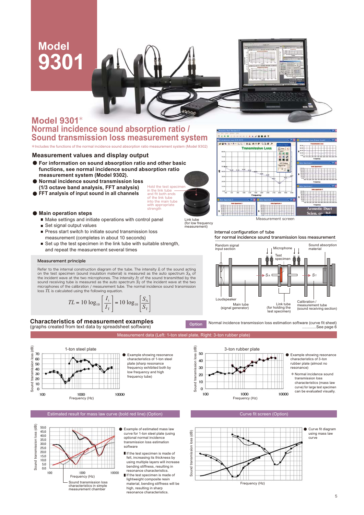# **Model 9301**

# **Model 9301**\* **Normal incidence sound absorption ratio / Sound transmission loss measurement system**

\*Includes the functions of the normal incidence sound absorption ratio measurement system (Model 9302)

# **Measurement values and display output**

- **For information on sound absorption ratio and other basic functions, see normal incidence sound absorption ratio measurement system (Model 9302).**
- **Normal incidence sound transmission loss (1/3 octave band analysis, FFT analysis)**
- **FFT analysis of input sound in all channels**
- **Main operation steps**
	- $\blacksquare$  Make settings and initiate operations with control panel  $\blacksquare$  Set signal output values
	-
	- Press start switch to initiate sound transmission loss measurement (completes in about 10 seconds)
	- Set up the test specimen in the link tube with suitable strength, and repeat the measurement several times

### Measurement principle

Refer to the internal construction diagram of the tube. The intensity *I*i of the sound acting on the test specimen (sound insulation material) is measured as the auto spectrum *S*A of the incident wave at the two microphones. The intensity *I*T of the sound transmitted by the sound receiving tube is measured as the auto spectrum *S*T of the incident wave at the two microphones of the calibration / measurement tube. The normal incidence sound transmission loss *TL* is calculated using the following equation.

$$
TL = 10 \log_{10} \left[ \frac{I_{\rm i}}{I_{\rm T}} \right] = 10 \log_{10} \left[ \frac{S_{\rm A}}{S_{\rm T}} \right]
$$

**Characteristics of measurement examples**  (graphs created from text data by spreadsheet software)



Estimated result for mass law curve (bold red line) (Option) Curve fit screen (Option) Curve fit screen (Option



- Example of estimated mass law curve for 1-ton steel plate (using optional normal incidence transmission loss estimation software
- If the test specimen is made of felt, increasing its thickness by using multiple layers will increase bending stiffness, resulting in resonance characteristics.
- If the test specimen is made of lightweight composite resin material, bending stiffness will be high, resulting in sharp resonance characteristics



Link tube (for low frequency measurement)

Measurement data (Left: 1-ton steel plate, Right: 3-ton rubber plate)

Sound transmission loss (dB)

50

40

30

 $\overline{20}$ 

 $10$ 

 $\theta$ 

 $100$ 

Sound transmission loss (dB)

Hold the test specimen in the link tube and fit both ends of the link tube into the main tube with appropriate strenath

### Internal configuration of tube

for normal incidence sound transmission loss measurement



Normal incidence transmission loss estimation software (curve fit sheet)





Frequency (Hz)



.See page 6

- characteristics of 3-ton rubber plate (almost no
- characteristics (mass law curve) for large test specimen can be evaluated visually.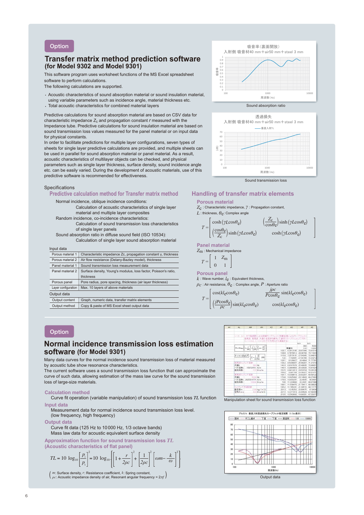## **Option**

# **Transfer matrix method prediction software (for Model 9302 and Model 9301)**

This software program uses worksheet functions of the MS Excel spreadsheet software to perform calculations.

The following calculations are supported.

- Acoustic characteristics of sound absorption material or sound insulation material, using variable parameters such as incidence angle, material thickness etc.
- Total acoustic characteristics for combined material layers

Predictive calculations for sound absorption material are based on CSV data for characteristic impedance  $Z_c$  and propagation constant  $r$  measured with the Impedance tube. Predictive calculations for sound insulation material are based on sound transmission loss values measured for the panel material or on input data for physical constants.

In order to facilitate predictions for multiple layer configurations, seven types of sheets for single layer predictive calculations are provided, and multiple sheets can be used in parallel for sound absorption material or panel material. As a result, acoustic characteristics of multilayer objects can be checked, and physical parameters such as single layer thickness, surface density, sound incidence angle etc. can be easily varied. During the development of acoustic materials, use of this predictive software is recommended for effectiveness.



## **Predictive calculation method for Transfer matrix method**

Normal incidence, oblique incidence conditions:

Calculation of acoustic characteristics of single layer material and multiple layer composites

- Random incidence, co-incidence characteristics: Calculation of sound transmission loss characteristics of single layer panels
- Sound absorption ratio in diffuse sound field (ISO 10534): Calculation of single layer sound absorption material

| Input data |  |  |
|------------|--|--|
|            |  |  |

| Porous material 1   | Characteristic impedance Zc, propagation constant y, thickness  |  |
|---------------------|-----------------------------------------------------------------|--|
| Porous material 2   | Air flow resistance (Delany-Bazley model), thickness            |  |
| Panel material 1    | Sound transmission loss measurement data                        |  |
| Panel material 2    | Surface density, Young's modulus, loss factor, Poisson's ratio, |  |
|                     | thickness                                                       |  |
| Porous panel        | Pore radius, pore spacing, thickness (air layer thickness)      |  |
| Layer configuration | Max. 10 layers of above materials                               |  |
| Output data         |                                                                 |  |
| Output content      | Graph, numeric data, transfer matrix elements                   |  |
| Output method       | Copy & paste of MS Excel sheet output data                      |  |



Sound absorption ratio



Sound transmission loss

# **Handling of transfer matrix elements**

**Porous material**

*Z*c : Characteristic impedance, *γ* : Propagation constant, *L* · thickness, *θe*: Complex and

$$
T = \begin{bmatrix} \cosh(\gamma L \cos \theta_{\rm e}) & \left(\frac{Z_{\rm c}}{\cos \theta_{\rm e}}\right) \sinh(\gamma L \cos \theta_{\rm e}) \\ \left(\frac{\cos \theta_{\rm e}}{Z_{\rm c}}\right) \sinh(\gamma L \cos \theta_{\rm e}) & \cosh(\gamma L \cos \theta_{\rm e}) \end{bmatrix}
$$

**Panel material**

*Z*m : Mechanical impedance

$$
T = \begin{bmatrix} 1 & Z_{\rm m} \\ 0 & 1 \end{bmatrix}
$$

**Porous panel** *k* : Wave number, *l*e : Equivalent thickness,

 $ρ<sub>c</sub>$ : Air resistance,  $θ<sub>e</sub>$ : Complex angle,  $P$ : Aperture ratio



# **Option**

# **Normal incidence transmission loss estimation software (for Model 9301)**

Many data curves for the normal incidence sound transmission loss of material measured by acoustic tube show resonance characteristics.

The current software uses a sound transmission loss function that can approximate the curve of such data, allowing estimation of the mass law curve for the sound transmission loss of large-size materials.

### **Calculation method**

 Curve fit operation (variable manipulation) of sound transmission loss *TL* function **Input data**

 Measurement data for normal incidence sound transmission loss level. (low frequency, high frequency)

### **Output data**

 Curve fit data (125 Hz to 10000 Hz, 1/3 octave bands) Mass law data for acoustic equivalent surface density

**Approximation function for sound transmission loss** *TL* **(Acoustic characteristics of flat panel)**

$$
TL = 10 \log_{10} \left[ \frac{p_{\rm i}}{p_{\rm t}} \right]^2 = 10 \log_{10} \left\{ \left[ 1 + \frac{r}{2\rho c} \right]^2 + \left[ \frac{1}{2\rho c} \right]^2 \left[ \omega m - \frac{k}{\omega} \right]^2 \right\}
$$

*m*: Surface density, *r*: Resistance coefficient, *k*: Spring constant, <br> *ρc*: Acoustic impedance density of air, Resonant angular frequency = 2*πf* (

| M. | AL.          | <b>JUV</b>                                                                                                                                                                                                      | 331          | AD. | A21    | AG.                   | AR.               | <b>AS</b>         |
|----|--------------|-----------------------------------------------------------------------------------------------------------------------------------------------------------------------------------------------------------------|--------------|-----|--------|-----------------------|-------------------|-------------------|
|    |              |                                                                                                                                                                                                                 |              |     |        |                       |                   |                   |
|    |              |                                                                                                                                                                                                                 |              |     |        |                       |                   |                   |
|    |              | ソート・シキ FFT風波変による詳細カーブフィット(手動目指によるカーブワィット)                                                                                                                                                                       |              |     |        |                       |                   |                   |
|    |              | 法実主 高気王 共通の各党数を操作して通切にカープフィットして下さい                                                                                                                                                                              |              |     |        |                       |                   |                   |
|    |              | 【レット3-2、シート4-2のグラフを見ながら実施する】                                                                                                                                                                                    |              |     |        |                       | fo/e              | W/F               |
|    |              |                                                                                                                                                                                                                 |              |     |        |                       | 390               | 5000              |
|    |              | $\overline{r}L = \mathrm{i}\Omega\log_{\mathbf{R}^d}\!\!\left(\!\left[1+\frac{r}{2\sigma^2}\right]\!+\!\left(\frac{1}{2\sigma^2}\right)\!\left(\mathrm{e}^{\log{-\frac{\mathbf{R}}{\sigma}}}\!\right)\!\right)$ |              |     |        | 算量剂                   | 120               | 10000             |
|    |              |                                                                                                                                                                                                                 |              |     | 100.7  | 6.291.21.95           | 25.67346          | 73,61516          |
|    |              |                                                                                                                                                                                                                 |              |     | 1.09.0 | 6.7670912             | 25.09766          | 7311024           |
|    |              |                                                                                                                                                                                                                 |              |     | 115.9  | 3:2573131 2754345     |                   | 72.64915          |
|    |              | $\left[ k - m \cdot Qq_1' y' \right]$ $f_r = \frac{1}{2\pi} \sqrt{\frac{k}{m}}$ (28)                                                                                                                            |              |     |        | 122 7 702841 27 00786 |                   | 72.20212          |
|    |              |                                                                                                                                                                                                                 |              |     |        | 1201 0120527 25:4354  |                   | 71,77781          |
|    | 低潮(57) けいすぎれ |                                                                                                                                                                                                                 |              |     | 134.2  | 85300947              | 25.98297          | 71,37319          |
|    | 共振す          | 380.946                                                                                                                                                                                                         |              |     | 1403   | 8.9167978 25.48935    |                   | 70:90651          |
|    | バネ定数に        | 15072415 N/m                                                                                                                                                                                                    |              |     | 1464   | 12064059              | 25.00600          | 70/61/624         |
|    | 抵抗係数         |                                                                                                                                                                                                                 | 110.80 m/m   |     |        | 1525 86410413 2453154 |                   | 70:26103          |
|    |              |                                                                                                                                                                                                                 |              |     |        | 158.6 9.981708        | 24.06427.         | 09.91971          |
|    | 星周河7mm/1 定期  |                                                                                                                                                                                                                 |              |     | 164.7  | 10309516              | 23 60297          | 49.591.22         |
|    | 所提车          | 5000 Hz                                                                                                                                                                                                         |              |     | 170.8  | 10.625402 2314643     |                   | 03:27463          |
|    |              | (本定数) 2025314771 N/m                                                                                                                                                                                            |              |     | 176.9  |                       | 10.930201 22.6935 | 60,9691           |
|    |              | 版技师的 10000 Nr s/m                                                                                                                                                                                               |              |     | 153    | 11.224666             |                   | 22.2431 08.67308  |
|    |              |                                                                                                                                                                                                                 |              |     | 189.1  | 11,509475             | 21,79417          | 68,38829          |
|    | カッサの生産過常数    |                                                                                                                                                                                                                 |              |     |        | 1962 11.785241        |                   | 21:34572 08:11171 |
|    | 面密度m         |                                                                                                                                                                                                                 | 256 kg/m'2   |     | 208.3  | 12 05252              | 20.096.75         | 67.8436           |
|    | 空気の止む        |                                                                                                                                                                                                                 | 420 NH 6/m 3 |     | 207.4  | 12.311819             | 20.44628          | 67,58344          |
|    |              |                                                                                                                                                                                                                 |              |     | 2135   | 12563502              | 19:00331          | 67.33077          |

Manipulation sheet for sound transmission loss function

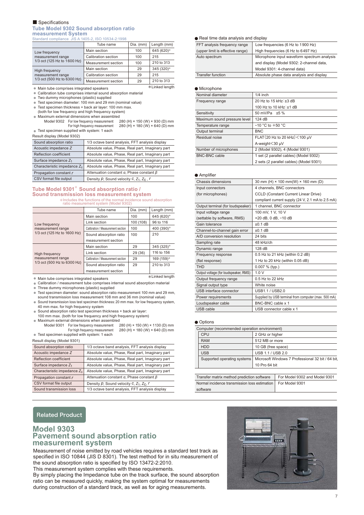### Specifications **Tube Model 9302 Sound absorption ratio measurement System** Standard compliance JIS A 1405-2, ISO 10534-2:1998

|                                                                    | Tube name           | Dia. (mm) | Length (mm) |
|--------------------------------------------------------------------|---------------------|-----------|-------------|
| Low frequency                                                      | Main section        | 100       | 645 (620)*  |
| measurement range                                                  | Calibration section | 100       | 215         |
| 1/3 oct (125 Hz to 1600 Hz)                                        | Measurement section | 100       | 210 to 313  |
| High frequency<br>measurement range<br>1/3 oct (500 Hz to 6300 Hz) | Main section        | 29        | 345 (320)*  |
|                                                                    | Calibration section | 29        | 215         |
|                                                                    | Measurement section | 29        | 210 to 313  |

Main tube comprises integrated speakers

Calibration tube comprises internal sound absorption material

Two dummy microphones (plastic) supplied

Test specimen diameter: 100 mm and 29 mm (nominal value)

Test specimen thickness + back air layer: 100 mm max. (both for low frequency and high frequency system)

Maximum external dimensions when assembled<br>Model 9302 For low frequency measurement 280 (H) × 150 (W) × 930 (D) mm

Model 9302 For low frequency measurement For high frequency measurement  $280$  (H)  $\times$  180 (W)  $\times$  640 (D) mm ● Test specimen supplied with system: 1 each

### Result display (Model 9302)

| 1/3 octave band analysis, FFT analysis display         |
|--------------------------------------------------------|
| Absolute value, Phase, Real part, Imaginary part       |
| Absolute value, Phase, Real part, Imaginary part       |
| Absolute value, Phase, Real part, Imaginary part       |
| Absolute value, Phase, Real part, Imaginary part       |
| Attenuation constant $\alpha$ , Phase constant $\beta$ |
| Density $p$ , Sound velocity $c$ , $Z_1$ , $Z_c$ , $r$ |
|                                                        |

## **Tube Model 9301**\* **Sound absorption ratio / Sound transmission loss measurement system**

\*Includes the functions of the normal incidence sound absorption ratio measurement system (Model 9302)

| $1.410$ . The about children by otonic traded book $1$             |                                   |           |             |  |
|--------------------------------------------------------------------|-----------------------------------|-----------|-------------|--|
|                                                                    | Tube name                         | Dia. (mm) | Length (mm) |  |
|                                                                    | Main section                      | 100       | 645 (620)*  |  |
| Low frequency                                                      | Link section                      | 100 (108) | 96 to 116   |  |
| measurement range                                                  | Calibration / Measurement section | 100       | 400 (390)*  |  |
| 1/3 oct (125 Hz to 1600 Hz)                                        | Sound absorption ratio            | 100       | 210         |  |
|                                                                    | measurement section               |           |             |  |
| High frequency<br>measurement range<br>1/3 oct (500 Hz to 6300 Hz) | Main section                      | 29        | 345 (325)*  |  |
|                                                                    | Link section                      | 29 (36)   | 116 to 156  |  |
|                                                                    | Calibration / Measurement section | 29        | 169 (159)*  |  |
|                                                                    | Sound absorption ratio            | 29        | 210 to 313  |  |
|                                                                    | measurement section               |           |             |  |

Main tube comprises integrated speakers

- Calibration / measurement tube comprises internal sound absorption material
- Three dummy microphones (plastic) supplied
- Test specimen diameter: sound absorption ratio measurement 100 mm and 29 mm, sound transmission loss measurement 108 mm and 36 mm (nominal value) ● Sound transmission loss test specimen thickness: 20 mm max. for low frequency system,
- 40 mm max. for high frequency system
- Sound absorption ratio test specimen thickness + back air layer:
- 100 mm max. (both for low frequency and high frequency system)

 $\bullet$  Maximum external dimensions when assembled<br>Model 9301 For low frequency measurement 280 (H) × 150 (W) × 1130 (D) mm

Model 9301 For low frequency measurement<br>For high frequency measurement  $280$  (H)  $\times$  180 (W)  $\times$  640 (D) mm ● Test specimen supplied with system: 1 each

Result display (Model 9301)

| <b>RESUIL UISPIAY (IVIUUEI 930 I)</b> |                                                        |  |  |
|---------------------------------------|--------------------------------------------------------|--|--|
| Sound absorption ratio                | 1/3 octave band analysis, FFT analysis display         |  |  |
| Acoustic impedance Z                  | Absolute value, Phase, Real part, Imaginary part       |  |  |
| Reflection coefficient                | Absolute value, Phase, Real part, Imaginary part       |  |  |
| Surface impedance Z <sub>1</sub>      | Absolute value, Phase, Real part, Imaginary part       |  |  |
| Characteristic impedance $Z_c$        | Absolute value, Phase, Real part, Imaginary part       |  |  |
| Propagation constant r                | Attenuation constant $\alpha$ , Phase constant $\beta$ |  |  |
| CSV format file output                | Density $p$ , Sound velocity C, $Z_1$ , $Z_2$ , $r$    |  |  |
| Sound transmission loss               | 1/3 octave band analysis, FFT analysis display         |  |  |

# Related Product

# **Model 9303 Pavement sound absorption ratio measurement system**

Measurement of noise emitted by road vehicles requires a standard test track as specified in ISO 10844 (JIS D 8301). The test method for in situ measurement of the sound absorption ratio is specified by ISO 13472-2:2010. This measurement system complies with these requirements.

By simply placing the Impedance tube on the track surface, the sound absorption ratio can be measured quickly, making the system optimal for measurements during construction of a standard track, as well as for aging measurements.

## ● Real time data analysis and display

| FFT analysis frequency range     | Low frequencies (6 Hz to 1900 Hz)           |
|----------------------------------|---------------------------------------------|
| (upper limit is effective range) | High frequencies (6 Hz to 6497 Hz)          |
| Auto spectrum                    | Microphone input waveform spectrum analysis |
|                                  | and display (Model 9302: 2-channel data,    |
|                                  | Model 9301: 4-channel data)                 |
| <b>Transfer function</b>         | Absolute phase data analysis and display    |

### ● Microphone

 $*$ Linked length

 $*$ Linked length

| Nominal diameter             | $1/4$ inch                              |
|------------------------------|-----------------------------------------|
| Frequency range              | 20 Hz to 15 kHz: ±3 dB                  |
|                              | 100 Hz to 10 kHz: ±1 dB                 |
| Sensitivity                  | 50 mV/Pa ±5 %                           |
| Maximum sound pressure level | 124 dB                                  |
| Temperature range            | $-10$ °C to $+50$ °C                    |
| Output terminal              | <b>BNC</b>                              |
| Residual noise               | FLAT (20 Hz to 20 kHz) < 100 µV         |
|                              | A-weight < 30 µV                        |
| Number of microphones        | 2 (Model 9302), 4 (Model 9301)          |
| <b>BNC-BNC cable</b>         | 1 set (2 parallel cables) (Model 9302)  |
|                              | 2 sets (2 parallel cables) (Model 9301) |

### ● Amplifier

| 30 mm (H) × 100 mm(W) × 160 mm (D)                   |
|------------------------------------------------------|
| 4 channels, BNC connectors                           |
| <b>CCLD (Constant Current Linear Drive)</b>          |
| compliant current supply (24 V, 2.1 mA to 2.5 mA)    |
| 1 channel, BNC connector                             |
| 100 mV, 1 V, 10 V                                    |
| +20 dB, 0 dB, -10 dB                                 |
| ±0.1 dB                                              |
| ±0.1 dB                                              |
| 24 bits                                              |
| 48 kHz/ch                                            |
| 128 dB                                               |
| 0.5 Hz to 21 kHz (within 0.2 dB)                     |
| 1 Hz to 20 kHz (within 0.05 dB)                      |
| 0.007 % (typ.)                                       |
| 1.0V                                                 |
| 0.5 Hz to 22 kHz                                     |
| White noise                                          |
| USB1.1 / USB2.0                                      |
| Supplied by USB terminal from computer (max. 500 mA) |
| BNC-BNC cable x 1                                    |
| USB connector cable x 1                              |
|                                                      |

### ● Options

| Computer (recommended operation environment) |                                                   |  |
|----------------------------------------------|---------------------------------------------------|--|
| CPU                                          | 2 GHz or higher                                   |  |
| <b>RAM</b>                                   | 512 MB or more                                    |  |
| <b>HDD</b>                                   | 10 GB (free space)                                |  |
| <b>USB</b>                                   | USB 1.1 / USB 2.0                                 |  |
| Supported operating systems                  | Microsoft Windows 7 Professional 32 bit / 64 bit, |  |
|                                              | 10 Pro 64 bit                                     |  |

Transfer matrix method prediction software For Model 9302 and Model 9301 Normal incidence transmission loss estimation For Model 9301 software